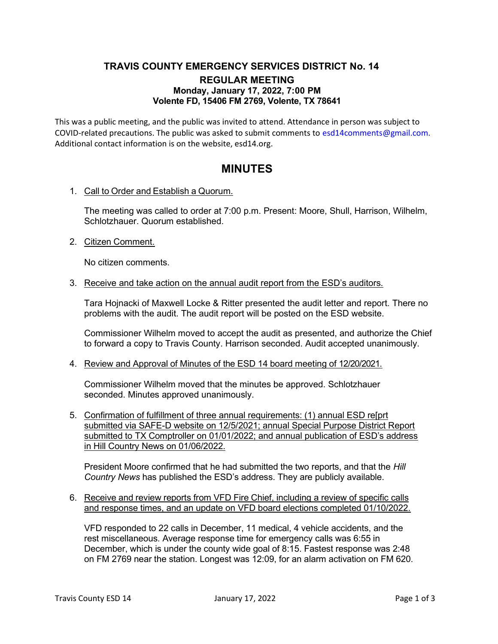## TRAVIS COUNTY EMERGENCY SERVICES DISTRICT No. 14 REGULAR MEETING Monday, January 17, 2022, 7:00 PM Volente FD, 15406 FM 2769, Volente, TX 78641

This was a public meeting, and the public was invited to attend. Attendance in person was subject to COVID-related precautions. The public was asked to submit comments to esd14comments@gmail.com. Additional contact information is on the website, esd14.org.

# MINUTES

1. Call to Order and Establish a Quorum.

The meeting was called to order at 7:00 p.m. Present: Moore, Shull, Harrison, Wilhelm, Schlotzhauer. Quorum established.

2. Citizen Comment.

No citizen comments.

3. Receive and take action on the annual audit report from the ESD's auditors.

Tara Hojnacki of Maxwell Locke & Ritter presented the audit letter and report. There no problems with the audit. The audit report will be posted on the ESD website.

Commissioner Wilhelm moved to accept the audit as presented, and authorize the Chief to forward a copy to Travis County. Harrison seconded. Audit accepted unanimously.

4. Review and Approval of Minutes of the ESD 14 board meeting of 12/20/2021.

Commissioner Wilhelm moved that the minutes be approved. Schlotzhauer seconded. Minutes approved unanimously.

5. Confirmation of fulfillment of three annual requirements: (1) annual ESD re[prt submitted via SAFE-D website on 12/5/2021; annual Special Purpose District Report submitted to TX Comptroller on 01/01/2022; and annual publication of ESD's address in Hill Country News on 01/06/2022.

President Moore confirmed that he had submitted the two reports, and that the Hill Country News has published the ESD's address. They are publicly available.

6. Receive and review reports from VFD Fire Chief, including a review of specific calls and response times, and an update on VFD board elections completed 01/10/2022.

VFD responded to 22 calls in December, 11 medical, 4 vehicle accidents, and the rest miscellaneous. Average response time for emergency calls was 6:55 in December, which is under the county wide goal of 8:15. Fastest response was 2:48 on FM 2769 near the station. Longest was 12:09, for an alarm activation on FM 620.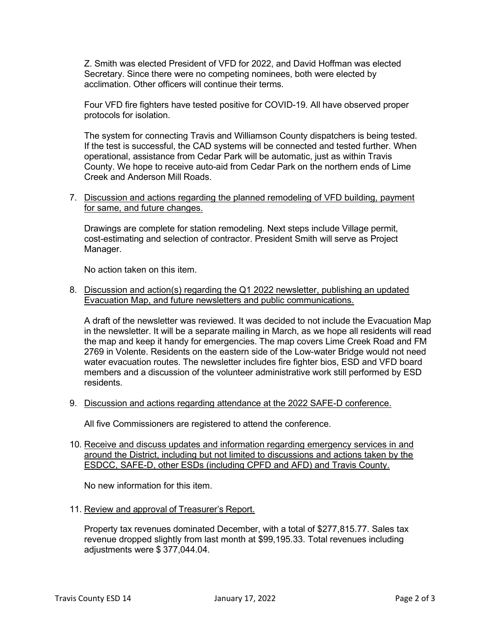Z. Smith was elected President of VFD for 2022, and David Hoffman was elected Secretary. Since there were no competing nominees, both were elected by acclimation. Other officers will continue their terms.

Four VFD fire fighters have tested positive for COVID-19. All have observed proper protocols for isolation.

The system for connecting Travis and Williamson County dispatchers is being tested. If the test is successful, the CAD systems will be connected and tested further. When operational, assistance from Cedar Park will be automatic, just as within Travis County. We hope to receive auto-aid from Cedar Park on the northern ends of Lime Creek and Anderson Mill Roads.

7. Discussion and actions regarding the planned remodeling of VFD building, payment for same, and future changes.

Drawings are complete for station remodeling. Next steps include Village permit, cost-estimating and selection of contractor. President Smith will serve as Project Manager.

No action taken on this item.

#### 8. Discussion and action(s) regarding the Q1 2022 newsletter, publishing an updated Evacuation Map, and future newsletters and public communications.

A draft of the newsletter was reviewed. It was decided to not include the Evacuation Map in the newsletter. It will be a separate mailing in March, as we hope all residents will read the map and keep it handy for emergencies. The map covers Lime Creek Road and FM 2769 in Volente. Residents on the eastern side of the Low-water Bridge would not need water evacuation routes. The newsletter includes fire fighter bios, ESD and VFD board members and a discussion of the volunteer administrative work still performed by ESD residents.

9. Discussion and actions regarding attendance at the 2022 SAFE-D conference.

All five Commissioners are registered to attend the conference.

10. Receive and discuss updates and information regarding emergency services in and around the District, including but not limited to discussions and actions taken by the ESDCC, SAFE-D, other ESDs (including CPFD and AFD) and Travis County.

No new information for this item.

11. Review and approval of Treasurer's Report.

Property tax revenues dominated December, with a total of \$277,815.77. Sales tax revenue dropped slightly from last month at \$99,195.33. Total revenues including adjustments were \$ 377,044.04.